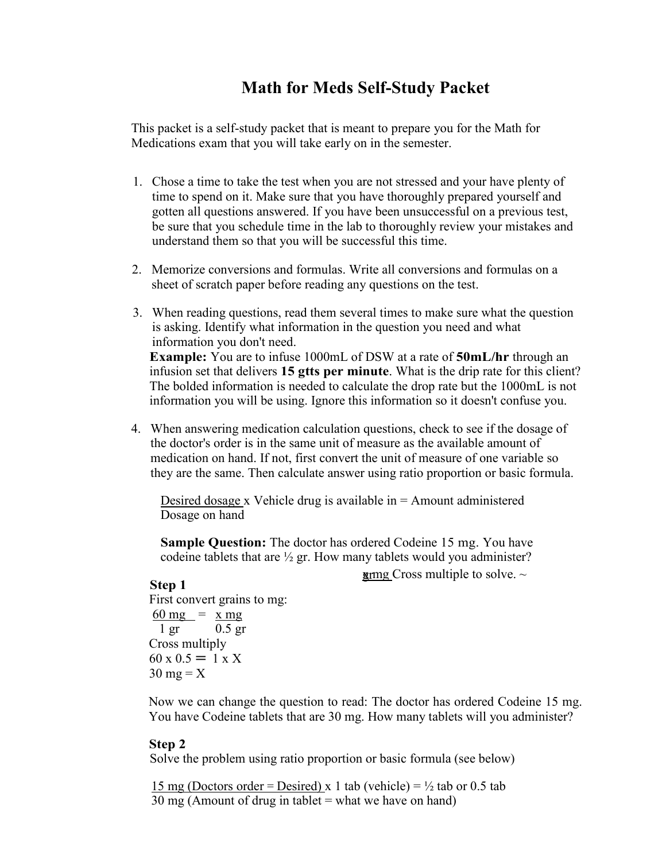## **Math for Meds Self-Study Packet**

This packet is a self-study packet that is meant to prepare you for the Math for Medications exam that you will take early on in the semester.

- 1. Chose a time to take the test when you are not stressed and your have plenty of time to spend on it. Make sure that you have thoroughly prepared yourself and gotten all questions answered. If you have been unsuccessful on a previous test, be sure that you schedule time in the lab to thoroughly review your mistakes and understand them so that you will be successful this time.
- 2. Memorize conversions and formulas. Write all conversions and formulas on a sheet of scratch paper before reading any questions on the test.
- 3. When reading questions, read them several times to make sure what the question is asking. Identify what information in the question you need and what information you don't need. **Example:** You are to infuse 1000mL of DSW at a rate of **50mL/hr** through an infusion set that delivers **15 gtts per minute**. What is the drip rate for this client? The bolded information is needed to calculate the drop rate but the 1000mL is not information you will be using. Ignore this information so it doesn't confuse you.
- 4. When answering medication calculation questions, check to see if the dosage of the doctor's order is in the same unit of measure as the available amount of medication on hand. If not, first convert the unit of measure of one variable so they are the same. Then calculate answer using ratio proportion or basic formula.

Desired dosage x Vehicle drug is available in  $=$  Amount administered Dosage on hand

**Sample Question:** The doctor has ordered Codeine 15 mg. You have codeine tablets that are  $\frac{1}{2}$  gr. How many tablets would you administer?

 $\gamma$  mg Cross multiple to solve.  $\sim$ 

#### **Step 1**

First convert grains to mg:  $\frac{60 \text{ mg}}{1 \text{ gr}} = \frac{\text{x mg}}{0.5 \text{ gr}}$  $0.5$  gr Cross multiply  $60 \times 0.5 = 1 \times X$  $30 \text{ mg} = X$ 

Now we can change the question to read: The doctor has ordered Codeine 15 mg. You have Codeine tablets that are 30 mg. How many tablets will you administer?

#### **Step 2**

Solve the problem using ratio proportion or basic formula (see below)

15 mg (Doctors order = Desired) x 1 tab (vehicle) =  $\frac{1}{2}$  tab or 0.5 tab  $30 \text{ mg}$  (Amount of drug in tablet = what we have on hand)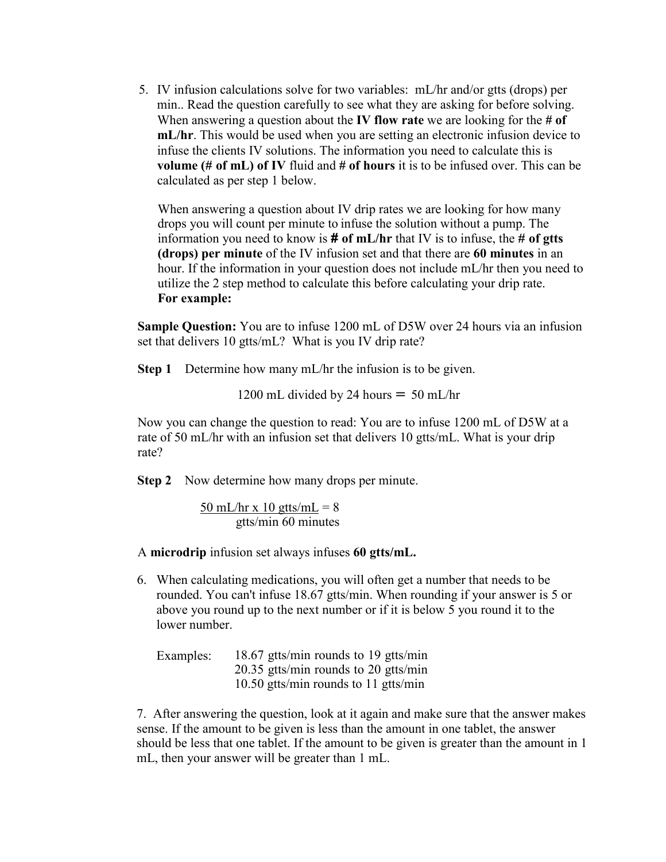5. IV infusion calculations solve for two variables: mL/hr and/or gtts (drops) per min.. Read the question carefully to see what they are asking for before solving. When answering a question about the **IV flow rate** we are looking for the **# of mL/hr**. This would be used when you are setting an electronic infusion device to infuse the clients IV solutions. The information you need to calculate this is **volume (# of mL) of IV** fluid and **# of hours** it is to be infused over. This can be calculated as per step 1 below.

When answering a question about IV drip rates we are looking for how many drops you will count per minute to infuse the solution without a pump. The information you need to know is **# of mL/hr** that IV is to infuse, the **# of gtts (drops) per minute** of the IV infusion set and that there are **60 minutes** in an hour. If the information in your question does not include mL/hr then you need to utilize the 2 step method to calculate this before calculating your drip rate. **For example:** 

**Sample Question:** You are to infuse 1200 mL of D5W over 24 hours via an infusion set that delivers 10 gtts/mL? What is you IV drip rate?

**Step 1** Determine how many mL/hr the infusion is to be given.

1200 mL divided by 24 hours  $= 50$  mL/hr

Now you can change the question to read: You are to infuse 1200 mL of D5W at a rate of 50 mL/hr with an infusion set that delivers 10 gtts/mL. What is your drip rate?

**Step 2** Now determine how many drops per minute.

50 mL/hr x 10 gtts/mL =  $8$ gtts/min 60 minutes

A **microdrip** infusion set always infuses **60 gtts/mL.**

6. When calculating medications, you will often get a number that needs to be rounded. You can't infuse 18.67 gtts/min. When rounding if your answer is 5 or above you round up to the next number or if it is below 5 you round it to the lower number.

| Examples: | 18.67 gtts/min rounds to 19 gtts/min |
|-----------|--------------------------------------|
|           | 20.35 gtts/min rounds to 20 gtts/min |
|           | 10.50 gtts/min rounds to 11 gtts/min |

7. After answering the question, look at it again and make sure that the answer makes sense. If the amount to be given is less than the amount in one tablet, the answer should be less that one tablet. If the amount to be given is greater than the amount in 1 mL, then your answer will be greater than 1 mL.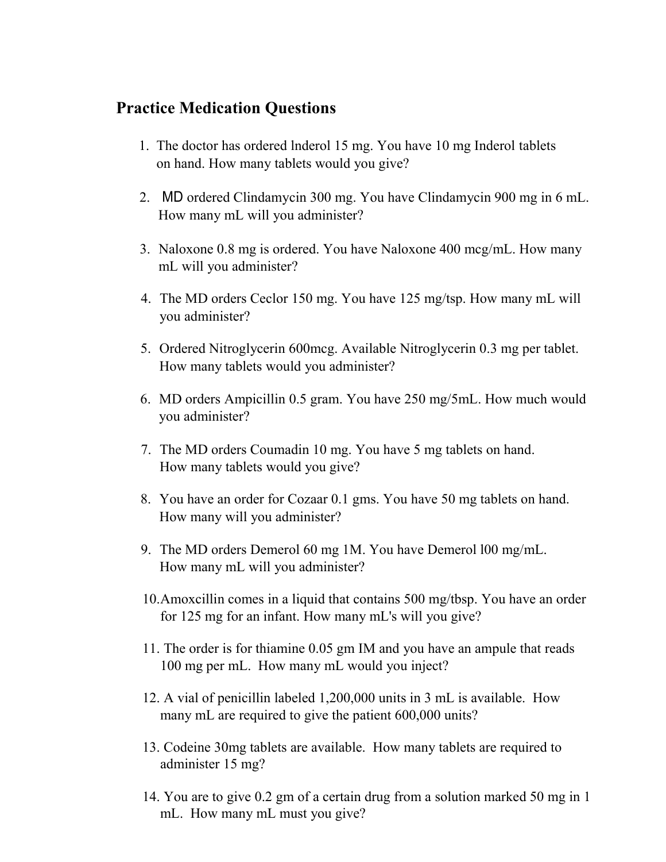## **Practice Medication Questions**

- 1. The doctor has ordered lnderol 15 mg. You have 10 mg Inderol tablets on hand. How many tablets would you give?
- 2. MD ordered Clindamycin 300 mg. You have Clindamycin 900 mg in 6 mL. How many mL will you administer?
- 3. Naloxone 0.8 mg is ordered. You have Naloxone 400 mcg/mL. How many mL will you administer?
- 4. The MD orders Ceclor 150 mg. You have 125 mg/tsp. How many mL will you administer?
- 5. Ordered Nitroglycerin 600mcg. Available Nitroglycerin 0.3 mg per tablet. How many tablets would you administer?
- 6. MD orders Ampicillin 0.5 gram. You have 250 mg/5mL. How much would you administer?
- 7. The MD orders Coumadin 10 mg. You have 5 mg tablets on hand. How many tablets would you give?
- 8. You have an order for Cozaar 0.1 gms. You have 50 mg tablets on hand. How many will you administer?
- 9. The MD orders Demerol 60 mg 1M. You have Demerol l00 mg/mL. How many mL will you administer?
- 10.Amoxcillin comes in a liquid that contains 500 mg/tbsp. You have an order for 125 mg for an infant. How many mL's will you give?
- 11. The order is for thiamine 0.05 gm IM and you have an ampule that reads 100 mg per mL. How many mL would you inject?
- 12. A vial of penicillin labeled 1,200,000 units in 3 mL is available. How many mL are required to give the patient 600,000 units?
- 13. Codeine 30mg tablets are available. How many tablets are required to administer 15 mg?
- 14. You are to give 0.2 gm of a certain drug from a solution marked 50 mg in 1 mL. How many mL must you give?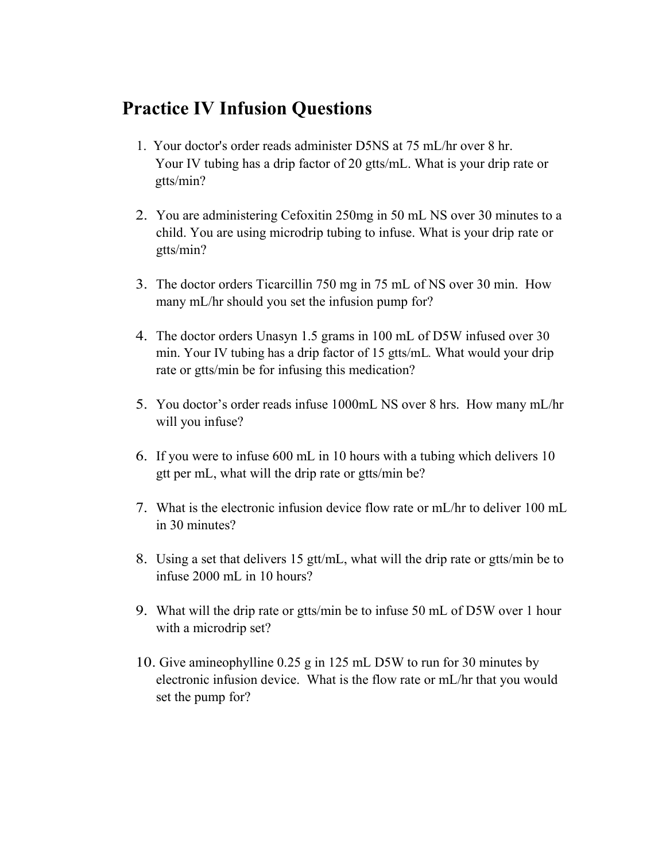# **Practice IV Infusion Questions**

- 1. Your doctor's order reads administer D5NS at 75 mL/hr over 8 hr. Your IV tubing has a drip factor of 20 gtts/mL. What is your drip rate or gtts/min?
- 2. You are administering Cefoxitin 250mg in 50 mL NS over 30 minutes to a child. You are using microdrip tubing to infuse. What is your drip rate or gtts/min?
- 3. The doctor orders Ticarcillin 750 mg in 75 mL of NS over 30 min. How many mL/hr should you set the infusion pump for?
- 4. The doctor orders Unasyn 1.5 grams in 100 mL of D5W infused over 30 min. Your IV tubing has a drip factor of 15 gtts/mL*.* What would your drip rate or gtts/min be for infusing this medication?
- 5. You doctor's order reads infuse 1000mL NS over 8 hrs. How many mL/hr will you infuse?
- 6. If you were to infuse 600 mL in 10 hours with a tubing which delivers 10 gtt per mL, what will the drip rate or gtts/min be?
- 7. What is the electronic infusion device flow rate or mL/hr to deliver 100 mL in 30 minutes?
- 8. Using a set that delivers 15 gtt/mL, what will the drip rate or gtts/min be to infuse 2000 mL in 10 hours?
- 9. What will the drip rate or gtts/min be to infuse 50 mL of D5W over 1 hour with a microdrip set?
- 10. Give amineophylline 0.25 g in 125 mL D5W to run for 30 minutes by electronic infusion device. What is the flow rate or mL/hr that you would set the pump for?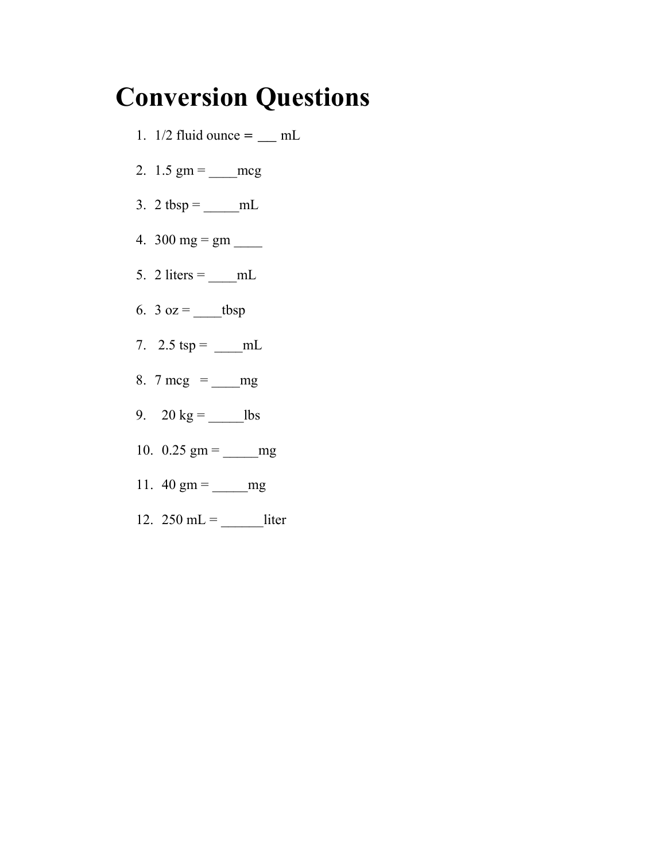# **Conversion Questions**

- 1.  $1/2$  fluid ounce =  $\text{mL}$
- 2.  $1.5 \text{ gm} = \text{mg}$
- 3. 2 tbsp =  $\underline{\hspace{1cm}}$  mL
- 4. 300 mg =  $gm$  \_\_\_\_\_
- 5. 2 liters =  $\underline{\hspace{1cm}}$  mL
- 6.  $3 oz =$  tbsp
- 7.  $2.5 \text{ tsp} = \underline{\text{mL}}$
- 8. 7 mcg =  $mg$
- 9. 20 kg = \_\_\_\_\_lbs
- 10.  $0.25$  gm = \_\_\_\_\_\_mg
- 11.  $40 \text{ gm} = \text{mg}$
- 12. 250 mL =  $\_$  liter